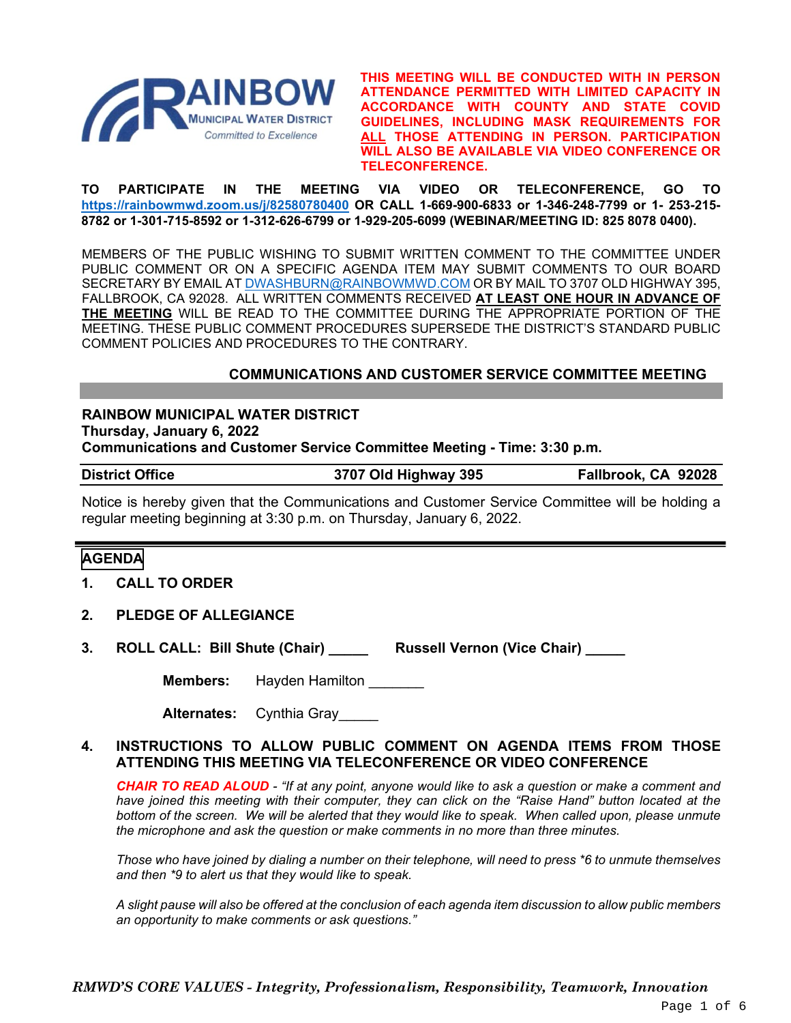

**THIS MEETING WILL BE CONDUCTED WITH IN PERSON ATTENDANCE PERMITTED WITH LIMITED CAPACITY IN ACCORDANCE WITH COUNTY AND STATE COVID GUIDELINES, INCLUDING MASK REQUIREMENTS FOR ALL THOSE ATTENDING IN PERSON. PARTICIPATION WILL ALSO BE AVAILABLE VIA VIDEO CONFERENCE OR TELECONFERENCE.**

**TO PARTICIPATE IN THE MEETING VIA VIDEO OR TELECONFERENCE, GO TO <https://rainbowmwd.zoom.us/j/82580780400> OR CALL 1-669-900-6833 or 1-346-248-7799 or 1- 253-215- 8782 or 1-301-715-8592 or 1-312-626-6799 or 1-929-205-6099 (WEBINAR/MEETING ID: 825 8078 0400).**

MEMBERS OF THE PUBLIC WISHING TO SUBMIT WRITTEN COMMENT TO THE COMMITTEE UNDER PUBLIC COMMENT OR ON A SPECIFIC AGENDA ITEM MAY SUBMIT COMMENTS TO OUR BOARD SECRETARY BY EMAIL A[T DWASHBURN@RAINBOWMWD.COM](mailto:DWASHBURN@RAINBOWMWD.COM) OR BY MAIL TO 3707 OLD HIGHWAY 395, FALLBROOK, CA 92028. ALL WRITTEN COMMENTS RECEIVED **AT LEAST ONE HOUR IN ADVANCE OF THE MEETING** WILL BE READ TO THE COMMITTEE DURING THE APPROPRIATE PORTION OF THE MEETING. THESE PUBLIC COMMENT PROCEDURES SUPERSEDE THE DISTRICT'S STANDARD PUBLIC COMMENT POLICIES AND PROCEDURES TO THE CONTRARY.

#### **COMMUNICATIONS AND CUSTOMER SERVICE COMMITTEE MEETING**

**RAINBOW MUNICIPAL WATER DISTRICT Thursday, January 6, 2022 Communications and Customer Service Committee Meeting - Time: 3:30 p.m.**

**District Office 3707 Old Highway 395 Fallbrook, CA 92028**

Notice is hereby given that the Communications and Customer Service Committee will be holding a regular meeting beginning at 3:30 p.m. on Thursday, January 6, 2022.

#### **AGENDA**

- **1. CALL TO ORDER**
- **2. PLEDGE OF ALLEGIANCE**
- **3. ROLL CALL: Bill Shute (Chair) \_\_\_\_\_ Russell Vernon (Vice Chair) \_\_\_\_\_**

**Members:** Hayden Hamilton

**Alternates:** Cynthia Gray\_\_\_\_\_

#### **4. INSTRUCTIONS TO ALLOW PUBLIC COMMENT ON AGENDA ITEMS FROM THOSE ATTENDING THIS MEETING VIA TELECONFERENCE OR VIDEO CONFERENCE**

*CHAIR TO READ ALOUD - "If at any point, anyone would like to ask a question or make a comment and have joined this meeting with their computer, they can click on the "Raise Hand" button located at the bottom of the screen. We will be alerted that they would like to speak. When called upon, please unmute the microphone and ask the question or make comments in no more than three minutes.*

*Those who have joined by dialing a number on their telephone, will need to press \*6 to unmute themselves and then \*9 to alert us that they would like to speak.*

*A slight pause will also be offered at the conclusion of each agenda item discussion to allow public members an opportunity to make comments or ask questions."*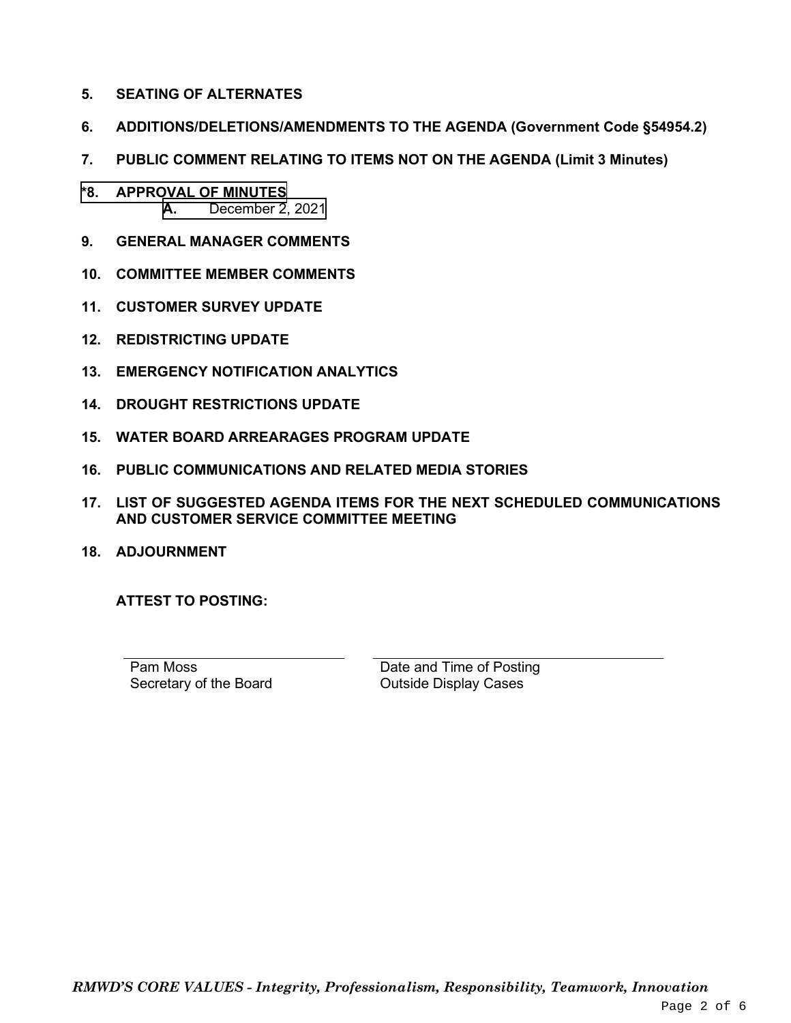- **5. SEATING OF ALTERNATES**
- **6. ADDITIONS/DELETIONS/AMENDMENTS TO THE AGENDA (Government Code §54954.2)**
- **7. PUBLIC COMMENT RELATING TO ITEMS NOT ON THE AGENDA (Limit 3 Minutes)**
- **\*8. APPROVAL OF MINUTES A.** [December 2, 2021](#page-2-0)
- **9. GENERAL MANAGER COMMENTS**
- **10. COMMITTEE MEMBER COMMENTS**
- **11. CUSTOMER SURVEY UPDATE**
- **12. REDISTRICTING UPDATE**
- **13. EMERGENCY NOTIFICATION ANALYTICS**
- **14. DROUGHT RESTRICTIONS UPDATE**
- **15. WATER BOARD ARREARAGES PROGRAM UPDATE**
- **16. PUBLIC COMMUNICATIONS AND RELATED MEDIA STORIES**
- **17. LIST OF SUGGESTED AGENDA ITEMS FOR THE NEXT SCHEDULED COMMUNICATIONS AND CUSTOMER SERVICE COMMITTEE MEETING**
- **18. ADJOURNMENT**

**ATTEST TO POSTING:**

Pam Moss Secretary of the Board Date and Time of Posting Outside Display Cases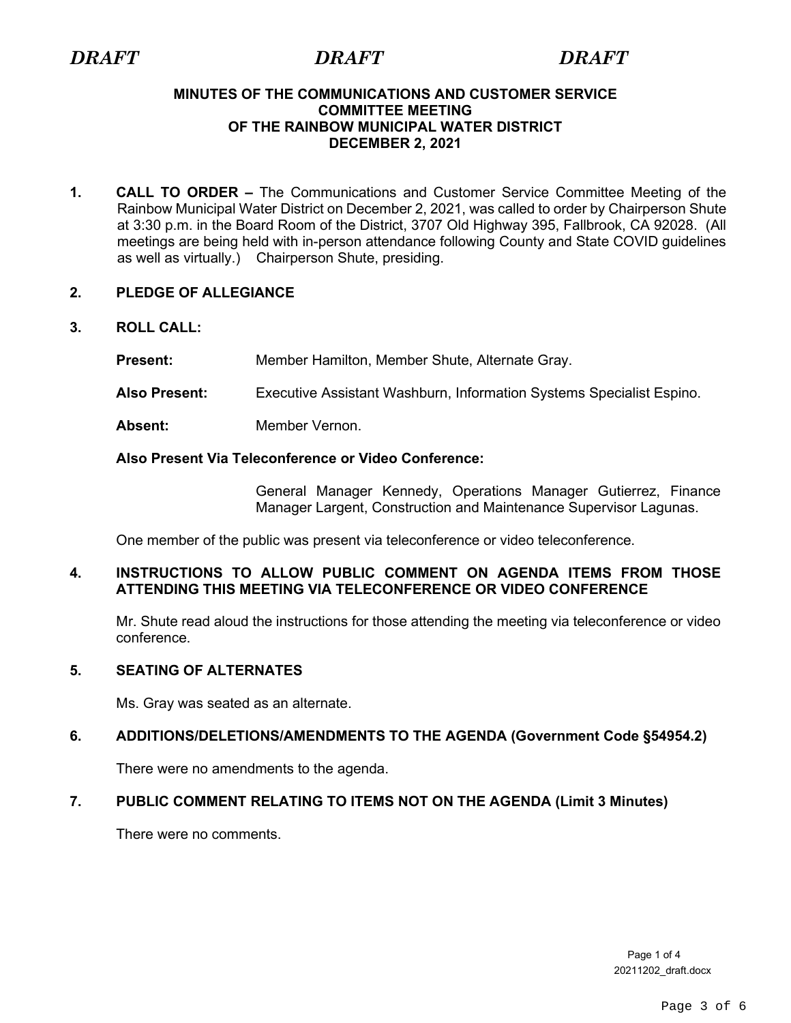### <span id="page-2-0"></span>**MINUTES OF THE COMMUNICATIONS AND CUSTOMER SERVICE COMMITTEE MEETING OF THE RAINBOW MUNICIPAL WATER DISTRICT DECEMBER 2, 2021**

**1. CALL TO ORDER –** The Communications and Customer Service Committee Meeting of the Rainbow Municipal Water District on December 2, 2021, was called to order by Chairperson Shute at 3:30 p.m. in the Board Room of the District, 3707 Old Highway 395, Fallbrook, CA 92028. (All meetings are being held with in-person attendance following County and State COVID guidelines as well as virtually.)Chairperson Shute, presiding.

# **2. PLEDGE OF ALLEGIANCE**

# **3. ROLL CALL:**

**Present:** Member Hamilton, Member Shute, Alternate Gray.

- **Also Present:** Executive Assistant Washburn, Information Systems Specialist Espino.
- Absent: Member Vernon.

# **Also Present Via Teleconference or Video Conference:**

General Manager Kennedy, Operations Manager Gutierrez, Finance Manager Largent, Construction and Maintenance Supervisor Lagunas.

One member of the public was present via teleconference or video teleconference.

# **4. INSTRUCTIONS TO ALLOW PUBLIC COMMENT ON AGENDA ITEMS FROM THOSE ATTENDING THIS MEETING VIA TELECONFERENCE OR VIDEO CONFERENCE**

Mr. Shute read aloud the instructions for those attending the meeting via teleconference or video conference.

# **5. SEATING OF ALTERNATES**

Ms. Gray was seated as an alternate.

# **6. ADDITIONS/DELETIONS/AMENDMENTS TO THE AGENDA (Government Code §54954.2)**

There were no amendments to the agenda.

# **7. PUBLIC COMMENT RELATING TO ITEMS NOT ON THE AGENDA (Limit 3 Minutes)**

There were no comments.

Page 1 of 4 20211202\_draft.docx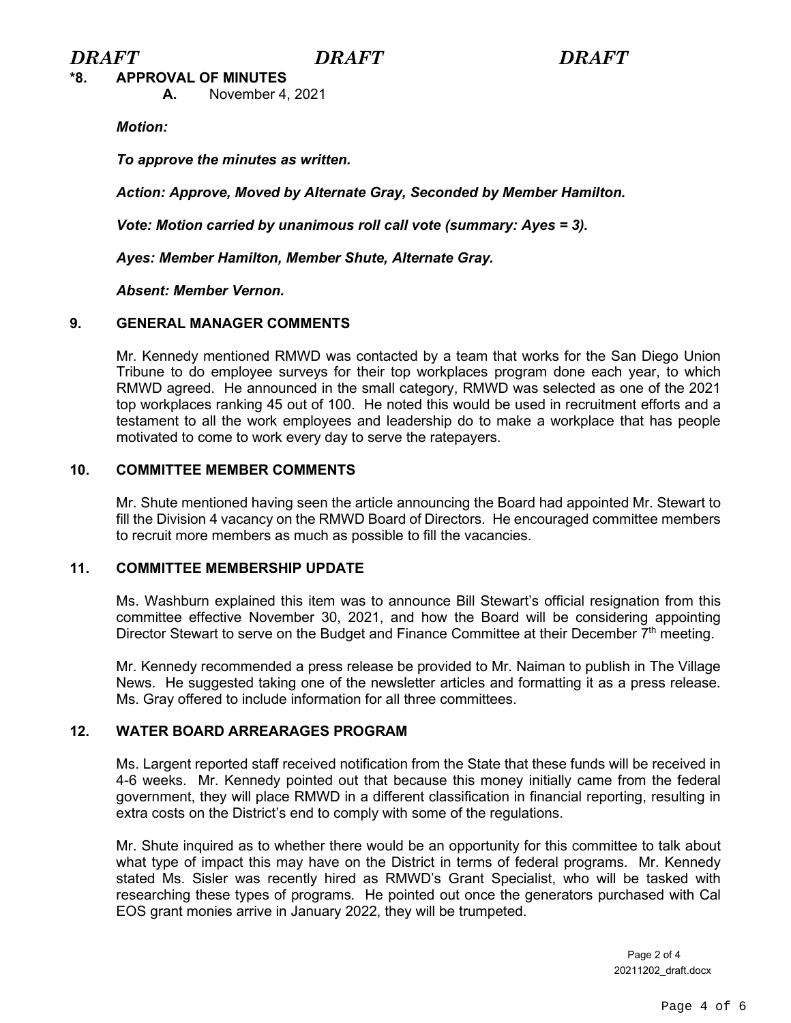**\*8. APPROVAL OF MINUTES**

**A.** November 4, 2021

*Motion:*

*To approve the minutes as written.*

*Action: Approve, Moved by Alternate Gray, Seconded by Member Hamilton.*

*Vote: Motion carried by unanimous roll call vote (summary: Ayes = 3).*

*Ayes: Member Hamilton, Member Shute, Alternate Gray.*

*Absent: Member Vernon.*

# **9. GENERAL MANAGER COMMENTS**

Mr. Kennedy mentioned RMWD was contacted by a team that works for the San Diego Union Tribune to do employee surveys for their top workplaces program done each year, to which RMWD agreed. He announced in the small category, RMWD was selected as one of the 2021 top workplaces ranking 45 out of 100. He noted this would be used in recruitment efforts and a testament to all the work employees and leadership do to make a workplace that has people motivated to come to work every day to serve the ratepayers.

# **10. COMMITTEE MEMBER COMMENTS**

Mr. Shute mentioned having seen the article announcing the Board had appointed Mr. Stewart to fill the Division 4 vacancy on the RMWD Board of Directors. He encouraged committee members to recruit more members as much as possible to fill the vacancies.

# **11. COMMITTEE MEMBERSHIP UPDATE**

Ms. Washburn explained this item was to announce Bill Stewart's official resignation from this committee effective November 30, 2021, and how the Board will be considering appointing Director Stewart to serve on the Budget and Finance Committee at their December  $7<sup>th</sup>$  meeting.

Mr. Kennedy recommended a press release be provided to Mr. Naiman to publish in The Village News. He suggested taking one of the newsletter articles and formatting it as a press release. Ms. Gray offered to include information for all three committees.

# **12. WATER BOARD ARREARAGES PROGRAM**

Ms. Largent reported staff received notification from the State that these funds will be received in 4-6 weeks. Mr. Kennedy pointed out that because this money initially came from the federal government, they will place RMWD in a different classification in financial reporting, resulting in extra costs on the District's end to comply with some of the regulations.

Mr. Shute inquired as to whether there would be an opportunity for this committee to talk about what type of impact this may have on the District in terms of federal programs. Mr. Kennedy stated Ms. Sisler was recently hired as RMWD's Grant Specialist, who will be tasked with researching these types of programs. He pointed out once the generators purchased with Cal EOS grant monies arrive in January 2022, they will be trumpeted.

> Page 2 of 4 20211202\_draft.docx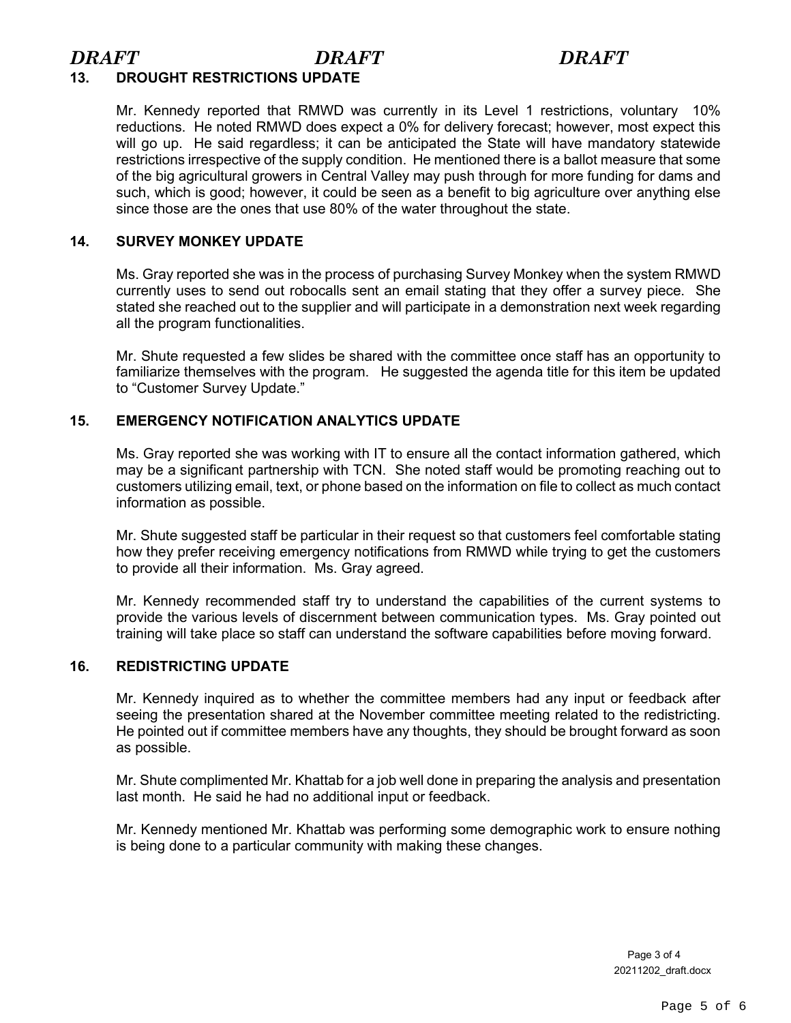# *DRAFT DRAFT DRAFT*

# **13. DROUGHT RESTRICTIONS UPDATE**

Mr. Kennedy reported that RMWD was currently in its Level 1 restrictions, voluntary 10% reductions. He noted RMWD does expect a 0% for delivery forecast; however, most expect this will go up. He said regardless; it can be anticipated the State will have mandatory statewide restrictions irrespective of the supply condition. He mentioned there is a ballot measure that some of the big agricultural growers in Central Valley may push through for more funding for dams and such, which is good; however, it could be seen as a benefit to big agriculture over anything else since those are the ones that use 80% of the water throughout the state.

### **14. SURVEY MONKEY UPDATE**

Ms. Gray reported she was in the process of purchasing Survey Monkey when the system RMWD currently uses to send out robocalls sent an email stating that they offer a survey piece. She stated she reached out to the supplier and will participate in a demonstration next week regarding all the program functionalities.

Mr. Shute requested a few slides be shared with the committee once staff has an opportunity to familiarize themselves with the program. He suggested the agenda title for this item be updated to "Customer Survey Update."

# **15. EMERGENCY NOTIFICATION ANALYTICS UPDATE**

Ms. Gray reported she was working with IT to ensure all the contact information gathered, which may be a significant partnership with TCN. She noted staff would be promoting reaching out to customers utilizing email, text, or phone based on the information on file to collect as much contact information as possible.

Mr. Shute suggested staff be particular in their request so that customers feel comfortable stating how they prefer receiving emergency notifications from RMWD while trying to get the customers to provide all their information. Ms. Gray agreed.

Mr. Kennedy recommended staff try to understand the capabilities of the current systems to provide the various levels of discernment between communication types. Ms. Gray pointed out training will take place so staff can understand the software capabilities before moving forward.

#### **16. REDISTRICTING UPDATE**

Mr. Kennedy inquired as to whether the committee members had any input or feedback after seeing the presentation shared at the November committee meeting related to the redistricting. He pointed out if committee members have any thoughts, they should be brought forward as soon as possible.

Mr. Shute complimented Mr. Khattab for a job well done in preparing the analysis and presentation last month. He said he had no additional input or feedback.

Mr. Kennedy mentioned Mr. Khattab was performing some demographic work to ensure nothing is being done to a particular community with making these changes.

> Page 3 of 4 20211202\_draft.docx